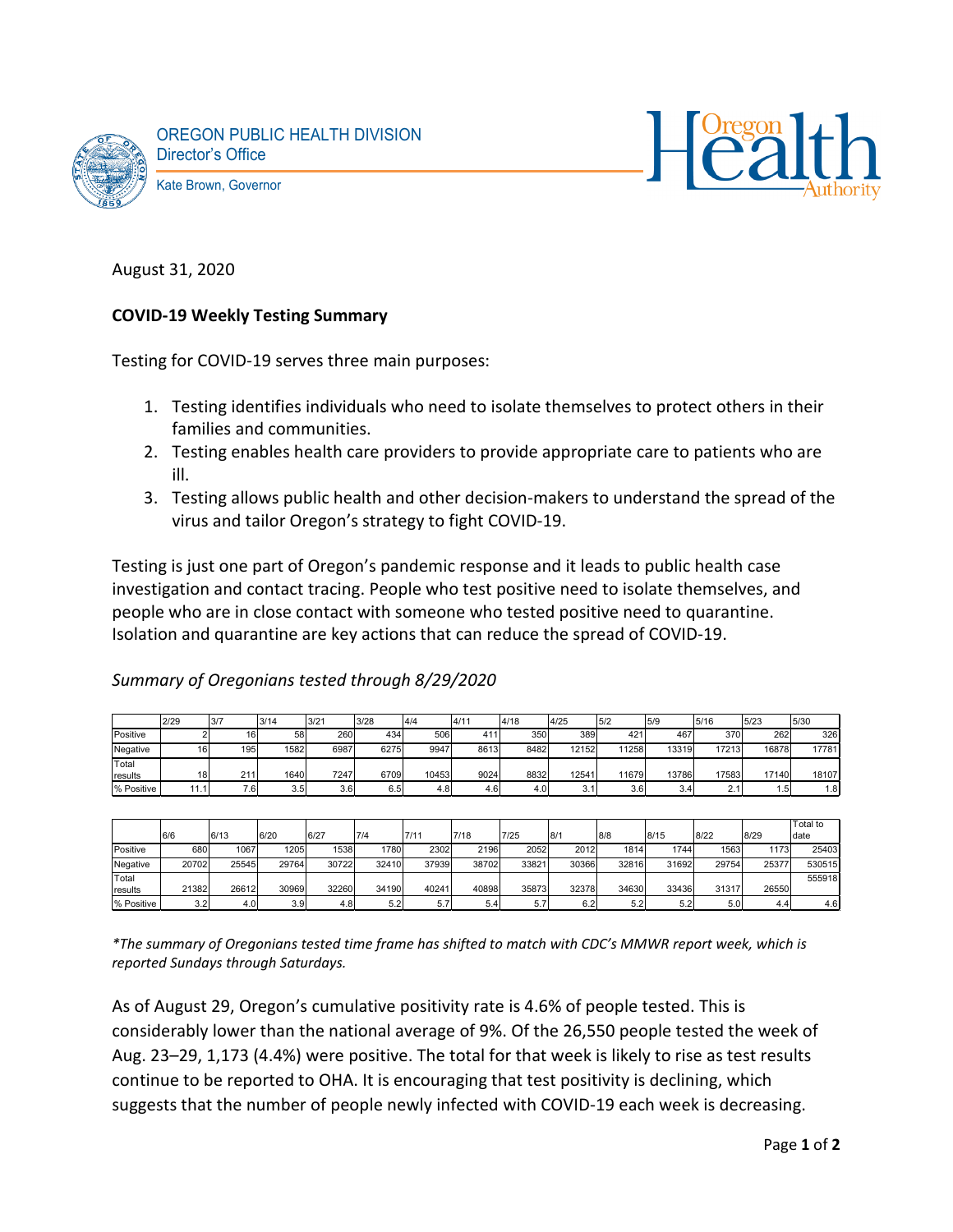



August 31, 2020

## **COVID-19 Weekly Testing Summary**

Testing for COVID-19 serves three main purposes:

- 1. Testing identifies individuals who need to isolate themselves to protect others in their families and communities.
- 2. Testing enables health care providers to provide appropriate care to patients who are ill.
- 3. Testing allows public health and other decision-makers to understand the spread of the virus and tailor Oregon's strategy to fight COVID-19.

Testing is just one part of Oregon's pandemic response and it leads to public health case investigation and contact tracing. People who test positive need to isolate themselves, and people who are in close contact with someone who tested positive need to quarantine. Isolation and quarantine are key actions that can reduce the spread of COVID-19.

|            | 2/29 | 3/7 | 3/14 | 3/2  | 3/28 | 4/4   | 4/11 | 4/18 | 4/25  | 15/2  | 5/9   | 5/16         | 5/23  | 5/30            |
|------------|------|-----|------|------|------|-------|------|------|-------|-------|-------|--------------|-------|-----------------|
| Positive   |      | 16  | 58   | 260  | 434  | 506   |      | 350  | 389   | 421   | 467   | 370          | 262   | 326             |
| Negative   | 16   | 195 | 1582 | 6987 | 6275 | 9947  | 8613 | 8482 | 12152 | 11258 | 13319 | 17213        | 16878 | 17781           |
| Total      |      |     |      |      |      |       |      |      |       |       |       |              |       |                 |
| Iresults   | 18   | 211 | 1640 | 7247 | 6709 | 10453 | 9024 | 8832 | 1254  | 11679 | 13786 | 17583        | 17140 | 18107           |
| % Positive | 11.1 | 7.6 | 3.5  | 3.6  | 6.5  | 4.8   | 4.6  | 4.0  |       | 3.6   | 3.4   | $\sim$<br>Ζ. | 5. ا  | .8 <sup>1</sup> |

*Summary of Oregonians tested through 8/29/2020*

|                  |       |       |                  |       |       |       |       |       |       |       |        |       |       | Total to |
|------------------|-------|-------|------------------|-------|-------|-------|-------|-------|-------|-------|--------|-------|-------|----------|
|                  | 6/6   | 6/13  | 6/20             | 6/27  | 7/4   | 7/11  | 7/18  | 7/25  | 8/1   | 8/8   | 8/15   | 18/22 | 8/29  | date     |
| Positive         | 680   | 1067  | 1205             | 1538  | 1780  | 2302  | 2196  | 2052  | 2012  | 1814  | 1744   | 1563  | 1173  | 25403    |
| Negative         | 20702 | 25545 | 29764            | 30722 | 32410 | 37939 | 38702 | 3382  | 30366 | 32816 | 31692  | 29754 | 25377 | 530515   |
| Total            |       |       |                  |       |       |       |       |       |       |       |        |       |       | 555918   |
| <b>I</b> results | 21382 | 26612 | 30969            | 32260 | 34190 | 40241 | 40898 | 35873 | 32378 | 34630 | 334361 | 31317 | 26550 |          |
| % Positive       | 3.2   | 4.0   | 3.9 <sub>1</sub> | 4.8   | 5.2   | 5.7   | 5.4   | 5.7   | 6.2   | 5.2   | 5.2    | 5.0   | 4.4   | 4.6      |

*\*The summary of Oregonians tested time frame has shifted to match with CDC's MMWR report week, which is reported Sundays through Saturdays.*

As of August 29, Oregon's cumulative positivity rate is 4.6% of people tested. This is considerably lower than the national average of 9%. Of the 26,550 people tested the week of Aug. 23–29, 1,173 (4.4%) were positive. The total for that week is likely to rise as test results continue to be reported to OHA. It is encouraging that test positivity is declining, which suggests that the number of people newly infected with COVID-19 each week is decreasing.